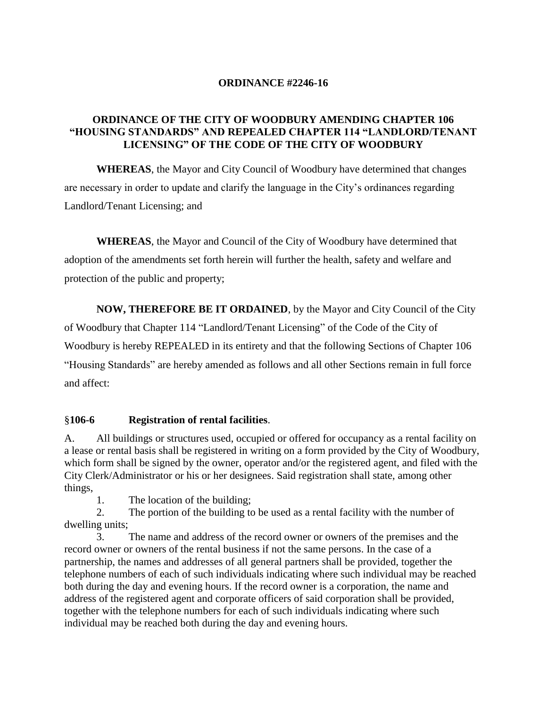#### **ORDINANCE #2246-16**

#### **ORDINANCE OF THE CITY OF WOODBURY AMENDING CHAPTER 106 "HOUSING STANDARDS" AND REPEALED CHAPTER 114 "LANDLORD/TENANT LICENSING" OF THE CODE OF THE CITY OF WOODBURY**

**WHEREAS**, the Mayor and City Council of Woodbury have determined that changes are necessary in order to update and clarify the language in the City's ordinances regarding Landlord/Tenant Licensing; and

**WHEREAS**, the Mayor and Council of the City of Woodbury have determined that adoption of the amendments set forth herein will further the health, safety and welfare and protection of the public and property;

**NOW, THEREFORE BE IT ORDAINED**, by the Mayor and City Council of the City of Woodbury that Chapter 114 "Landlord/Tenant Licensing" of the Code of the City of Woodbury is hereby REPEALED in its entirety and that the following Sections of Chapter 106 "Housing Standards" are hereby amended as follows and all other Sections remain in full force and affect:

#### §**106-6 Registration of rental facilities**.

A. All buildings or structures used, occupied or offered for occupancy as a rental facility on a lease or rental basis shall be registered in writing on a form provided by the City of Woodbury, which form shall be signed by the owner, operator and/or the registered agent, and filed with the City Clerk/Administrator or his or her designees. Said registration shall state, among other things,

1. The location of the building;

2. The portion of the building to be used as a rental facility with the number of dwelling units;

3. The name and address of the record owner or owners of the premises and the record owner or owners of the rental business if not the same persons. In the case of a partnership, the names and addresses of all general partners shall be provided, together the telephone numbers of each of such individuals indicating where such individual may be reached both during the day and evening hours. If the record owner is a corporation, the name and address of the registered agent and corporate officers of said corporation shall be provided, together with the telephone numbers for each of such individuals indicating where such individual may be reached both during the day and evening hours.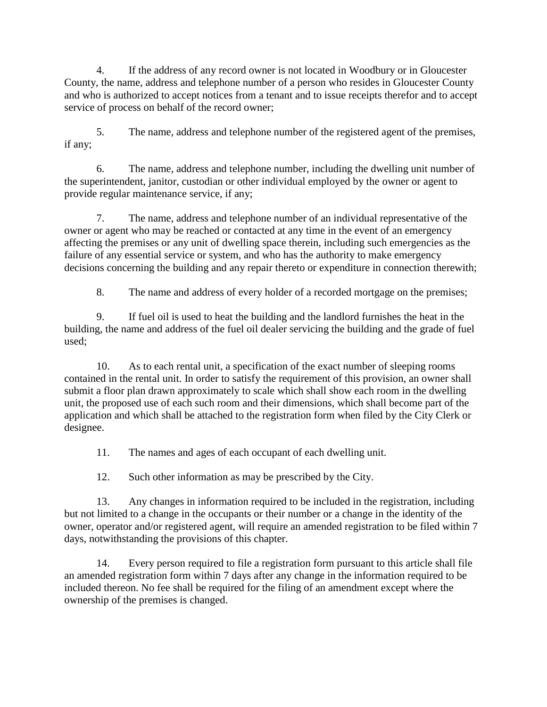4. If the address of any record owner is not located in Woodbury or in Gloucester County, the name, address and telephone number of a person who resides in Gloucester County and who is authorized to accept notices from a tenant and to issue receipts therefor and to accept service of process on behalf of the record owner;

5. The name, address and telephone number of the registered agent of the premises, if any;

6. The name, address and telephone number, including the dwelling unit number of the superintendent, janitor, custodian or other individual employed by the owner or agent to provide regular maintenance service, if any;

7. The name, address and telephone number of an individual representative of the owner or agent who may be reached or contacted at any time in the event of an emergency affecting the premises or any unit of dwelling space therein, including such emergencies as the failure of any essential service or system, and who has the authority to make emergency decisions concerning the building and any repair thereto or expenditure in connection therewith;

8. The name and address of every holder of a recorded mortgage on the premises;

9. If fuel oil is used to heat the building and the landlord furnishes the heat in the building, the name and address of the fuel oil dealer servicing the building and the grade of fuel used;

10. As to each rental unit, a specification of the exact number of sleeping rooms contained in the rental unit. In order to satisfy the requirement of this provision, an owner shall submit a floor plan drawn approximately to scale which shall show each room in the dwelling unit, the proposed use of each such room and their dimensions, which shall become part of the application and which shall be attached to the registration form when filed by the City Clerk or designee.

11. The names and ages of each occupant of each dwelling unit.

12. Such other information as may be prescribed by the City.

13. Any changes in information required to be included in the registration, including but not limited to a change in the occupants or their number or a change in the identity of the owner, operator and/or registered agent, will require an amended registration to be filed within 7 days, notwithstanding the provisions of this chapter.

14. Every person required to file a registration form pursuant to this article shall file an amended registration form within 7 days after any change in the information required to be included thereon. No fee shall be required for the filing of an amendment except where the ownership of the premises is changed.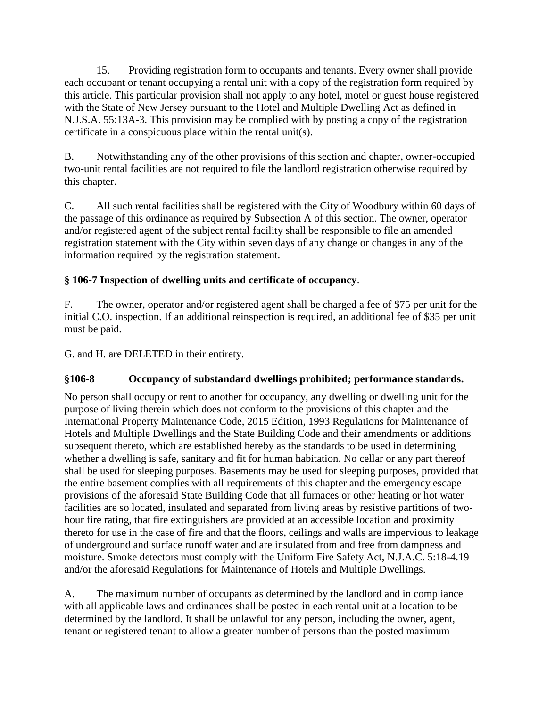15. Providing registration form to occupants and tenants. Every owner shall provide each occupant or tenant occupying a rental unit with a copy of the registration form required by this article. This particular provision shall not apply to any hotel, motel or guest house registered with the State of New Jersey pursuant to the Hotel and Multiple Dwelling Act as defined in N.J.S.A. 55:13A-3. This provision may be complied with by posting a copy of the registration certificate in a conspicuous place within the rental unit(s).

B. Notwithstanding any of the other provisions of this section and chapter, owner-occupied two-unit rental facilities are not required to file the landlord registration otherwise required by this chapter.

C. All such rental facilities shall be registered with the City of Woodbury within 60 days of the passage of this ordinance as required by Subsection A of this section. The owner, operator and/or registered agent of the subject rental facility shall be responsible to file an amended registration statement with the City within seven days of any change or changes in any of the information required by the registration statement.

# **§ 106-7 Inspection of dwelling units and certificate of occupancy**.

F. The owner, operator and/or registered agent shall be charged a fee of \$75 per unit for the initial C.O. inspection. If an additional reinspection is required, an additional fee of \$35 per unit must be paid.

G. and H. are DELETED in their entirety.

# **§106-8 Occupancy of substandard dwellings prohibited; performance standards.**

No person shall occupy or rent to another for occupancy, any dwelling or dwelling unit for the purpose of living therein which does not conform to the provisions of this chapter and the International Property Maintenance Code, 2015 Edition, 1993 Regulations for Maintenance of Hotels and Multiple Dwellings and the State Building Code and their amendments or additions subsequent thereto, which are established hereby as the standards to be used in determining whether a dwelling is safe, sanitary and fit for human habitation. No cellar or any part thereof shall be used for sleeping purposes. Basements may be used for sleeping purposes, provided that the entire basement complies with all requirements of this chapter and the emergency escape provisions of the aforesaid State Building Code that all furnaces or other heating or hot water facilities are so located, insulated and separated from living areas by resistive partitions of twohour fire rating, that fire extinguishers are provided at an accessible location and proximity thereto for use in the case of fire and that the floors, ceilings and walls are impervious to leakage of underground and surface runoff water and are insulated from and free from dampness and moisture. Smoke detectors must comply with the Uniform Fire Safety Act, N.J.A.C. 5:18-4.19 and/or the aforesaid Regulations for Maintenance of Hotels and Multiple Dwellings.

A. The maximum number of occupants as determined by the landlord and in compliance with all applicable laws and ordinances shall be posted in each rental unit at a location to be determined by the landlord. It shall be unlawful for any person, including the owner, agent, tenant or registered tenant to allow a greater number of persons than the posted maximum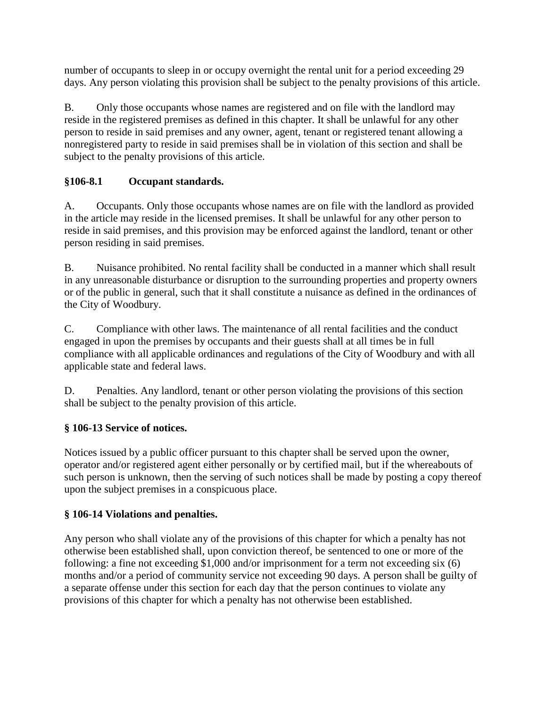number of occupants to sleep in or occupy overnight the rental unit for a period exceeding 29 days. Any person violating this provision shall be subject to the penalty provisions of this article.

B. Only those occupants whose names are registered and on file with the landlord may reside in the registered premises as defined in this chapter. It shall be unlawful for any other person to reside in said premises and any owner, agent, tenant or registered tenant allowing a nonregistered party to reside in said premises shall be in violation of this section and shall be subject to the penalty provisions of this article.

## **§106-8.1 Occupant standards.**

A. Occupants. Only those occupants whose names are on file with the landlord as provided in the article may reside in the licensed premises. It shall be unlawful for any other person to reside in said premises, and this provision may be enforced against the landlord, tenant or other person residing in said premises.

B. Nuisance prohibited. No rental facility shall be conducted in a manner which shall result in any unreasonable disturbance or disruption to the surrounding properties and property owners or of the public in general, such that it shall constitute a nuisance as defined in the ordinances of the City of Woodbury.

C. Compliance with other laws. The maintenance of all rental facilities and the conduct engaged in upon the premises by occupants and their guests shall at all times be in full compliance with all applicable ordinances and regulations of the City of Woodbury and with all applicable state and federal laws.

D. Penalties. Any landlord, tenant or other person violating the provisions of this section shall be subject to the penalty provision of this article.

## **§ 106-13 Service of notices.**

Notices issued by a public officer pursuant to this chapter shall be served upon the owner, operator and/or registered agent either personally or by certified mail, but if the whereabouts of such person is unknown, then the serving of such notices shall be made by posting a copy thereof upon the subject premises in a conspicuous place.

## **§ 106-14 Violations and penalties.**

Any person who shall violate any of the provisions of this chapter for which a penalty has not otherwise been established shall, upon conviction thereof, be sentenced to one or more of the following: a fine not exceeding \$1,000 and/or imprisonment for a term not exceeding six (6) months and/or a period of community service not exceeding 90 days. A person shall be guilty of a separate offense under this section for each day that the person continues to violate any provisions of this chapter for which a penalty has not otherwise been established.